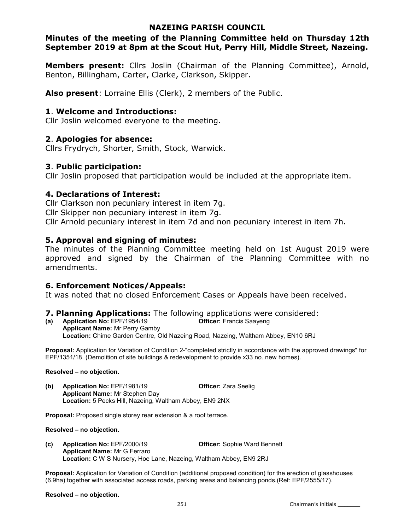## NAZEING PARISH COUNCIL

## Minutes of the meeting of the Planning Committee held on Thursday 12th September 2019 at 8pm at the Scout Hut, Perry Hill, Middle Street, Nazeing.

Members present: Cllrs Joslin (Chairman of the Planning Committee), Arnold, Benton, Billingham, Carter, Clarke, Clarkson, Skipper.

Also present: Lorraine Ellis (Clerk), 2 members of the Public.

## 1. Welcome and Introductions:

Cllr Joslin welcomed everyone to the meeting.

## 2. Apologies for absence:

Cllrs Frydrych, Shorter, Smith, Stock, Warwick.

## 3. Public participation:

Cllr Joslin proposed that participation would be included at the appropriate item.

## 4. Declarations of Interest:

Cllr Clarkson non pecuniary interest in item 7g. Cllr Skipper non pecuniary interest in item 7g. Cllr Arnold pecuniary interest in item 7d and non pecuniary interest in item 7h.

## 5. Approval and signing of minutes:

The minutes of the Planning Committee meeting held on 1st August 2019 were approved and signed by the Chairman of the Planning Committee with no amendments.

## 6. Enforcement Notices/Appeals:

It was noted that no closed Enforcement Cases or Appeals have been received.

## 7. Planning Applications: The following applications were considered:

(a) Application No: EPF/1954/19 Officer: Francis Saayeng Applicant Name: Mr Perry Gamby Location: Chime Garden Centre, Old Nazeing Road, Nazeing, Waltham Abbey, EN10 6RJ

Proposal: Application for Variation of Condition 2-"completed strictly in accordance with the approved drawings" for EPF/1351/18. (Demolition of site buildings & redevelopment to provide x33 no. new homes).

#### Resolved – no objection.

(b) Application No: EPF/1981/19 Officer: Zara Seelig Applicant Name: Mr Stephen Day Location: 5 Pecks Hill, Nazeing, Waltham Abbey, EN9 2NX

Proposal: Proposed single storey rear extension & a roof terrace.

#### Resolved – no objection.

(c) Application No: EPF/2000/19 Officer: Sophie Ward Bennett Applicant Name: Mr G Ferraro Location: C W S Nursery, Hoe Lane, Nazeing, Waltham Abbey, EN9 2RJ

Proposal: Application for Variation of Condition (additional proposed condition) for the erection of glasshouses (6.9ha) together with associated access roads, parking areas and balancing ponds.(Ref: EPF/2555/17).

#### Resolved – no objection.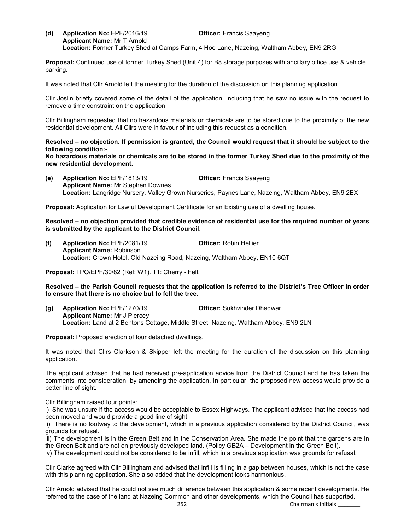(d) Application No: EPF/2016/19 Officer: Francis Saayeng Applicant Name: Mr T Arnold Location: Former Turkey Shed at Camps Farm, 4 Hoe Lane, Nazeing, Waltham Abbey, EN9 2RG

Proposal: Continued use of former Turkey Shed (Unit 4) for B8 storage purposes with ancillary office use & vehicle parking.

It was noted that Cllr Arnold left the meeting for the duration of the discussion on this planning application.

Cllr Joslin briefly covered some of the detail of the application, including that he saw no issue with the request to remove a time constraint on the application.

Cllr Billingham requested that no hazardous materials or chemicals are to be stored due to the proximity of the new residential development. All Cllrs were in favour of including this request as a condition.

Resolved – no objection. If permission is granted, the Council would request that it should be subject to the following condition:-

No hazardous materials or chemicals are to be stored in the former Turkey Shed due to the proximity of the new residential development.

(e) Application No: EPF/1813/19 Officer: Francis Saayeng Applicant Name: Mr Stephen Downes Location: Langridge Nursery, Valley Grown Nurseries, Paynes Lane, Nazeing, Waltham Abbey, EN9 2EX

Proposal: Application for Lawful Development Certificate for an Existing use of a dwelling house.

Resolved – no objection provided that credible evidence of residential use for the required number of years is submitted by the applicant to the District Council.

(f) Application No: EPF/2081/19 Officer: Robin Hellier Applicant Name: Robinson Location: Crown Hotel, Old Nazeing Road, Nazeing, Waltham Abbey, EN10 6QT

Proposal: TPO/EPF/30/82 (Ref: W1). T1: Cherry - Fell.

Resolved – the Parish Council requests that the application is referred to the District's Tree Officer in order to ensure that there is no choice but to fell the tree.

(g) Application No: EPF/1270/19 Officer: Sukhvinder Dhadwar Applicant Name: Mr J Piercey Location: Land at 2 Bentons Cottage, Middle Street, Nazeing, Waltham Abbey, EN9 2LN

Proposal: Proposed erection of four detached dwellings.

It was noted that Cllrs Clarkson & Skipper left the meeting for the duration of the discussion on this planning application.

The applicant advised that he had received pre-application advice from the District Council and he has taken the comments into consideration, by amending the application. In particular, the proposed new access would provide a better line of sight.

Cllr Billingham raised four points:

i) She was unsure if the access would be acceptable to Essex Highways. The applicant advised that the access had been moved and would provide a good line of sight.

ii) There is no footway to the development, which in a previous application considered by the District Council, was grounds for refusal.

iii) The development is in the Green Belt and in the Conservation Area. She made the point that the gardens are in the Green Belt and are not on previously developed land. (Policy GB2A – Development in the Green Belt).

iv) The development could not be considered to be infill, which in a previous application was grounds for refusal.

Cllr Clarke agreed with Cllr Billingham and advised that infill is filling in a gap between houses, which is not the case with this planning application. She also added that the development looks harmonious.

Cllr Arnold advised that he could not see much difference between this application & some recent developments. He referred to the case of the land at Nazeing Common and other developments, which the Council has supported.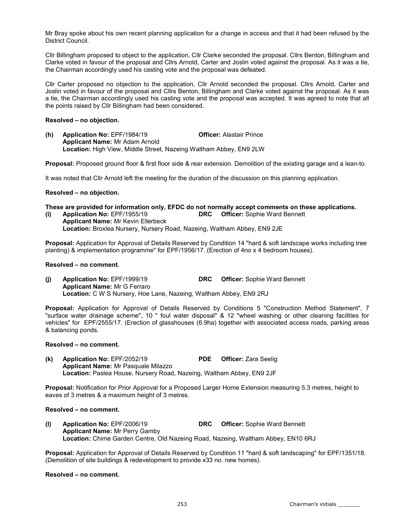Mr Bray spoke about his own recent planning application for a change in access and that it had been refused by the District Council.

Cllr Billingham proposed to object to the application, Cllr Clarke seconded the proposal. Cllrs Benton, Billingham and Clarke voted in favour of the proposal and Cllrs Arnold, Carter and Joslin voted against the proposal. As it was a tie, the Chairman accordingly used his casting vote and the proposal was defeated.

Cllr Carter proposed no objection to the application, Cllr Arnold seconded the proposal. Cllrs Arnold, Carter and Joslin voted in favour of the proposal and Cllrs Benton, Billingham and Clarke voted against the proposal. As it was a tie, the Chairman accordingly used his casting vote and the proposal was accepted. It was agreed to note that all the points raised by Cllr Billingham had been considered.

#### Resolved – no objection.

(h) Application No: EPF/1984/19 Officer: Alastair Prince Applicant Name: Mr Adam Arnold Location: High View, Middle Street, Nazeing Waltham Abbey, EN9 2LW

Proposal: Proposed ground floor & first floor side & rear extension. Demolition of the existing garage and a lean-to.

It was noted that Cllr Arnold left the meeting for the duration of the discussion on this planning application.

#### Resolved – no objection.

# These are provided for information only, EFDC do not normally accept comments on these applications.<br>(i) Application No: EPF/1955/19 **DRC** Officer: Sophie Ward Bennett

(i) Application No: EPF/1955/19 DRC Officer: Sophie Ward Bennett Applicant Name: Mr Kevin Ellerbeck Location: Broxlea Nursery, Nursery Road, Nazeing, Waltham Abbey, EN9 2JE

Proposal: Application for Approval of Details Reserved by Condition 14 "hard & soft landscape works including tree planting) & implementation programme" for EPF/1956/17. (Erection of 4no x 4 bedroom houses).

#### Resolved – no comment.

(j) Application No: EPF/1999/19 DRC Officer: Sophie Ward Bennett Applicant Name: Mr G Ferraro Location: C W S Nursery, Hoe Lane, Nazeing, Waltham Abbey, EN9 2RJ

Proposal: Application for Approval of Details Reserved by Conditions 5 "Construction Method Statement", 7 "surface water drainage scheme", 10 " foul water disposal" & 12 "wheel washing or other cleaning facilities for vehicles" for EPF/2555/17. (Erection of glasshouses (6.9ha) together with associated access roads, parking areas & balancing ponds.

#### Resolved – no comment.

(k) Application No: EPF/2052/19 PDE Officer: Zara Seelig Applicant Name: Mr Pasquale Milazzo Location: Paslea House, Nursery Road, Nazeing, Waltham Abbey, EN9 2JF

Proposal: Notification for Prior Approval for a Proposed Larger Home Extension measuring 5.3 metres, height to eaves of 3 metres & a maximum height of 3 metres.

#### Resolved – no comment.

(l) Application No: EPF/2006/19 DRC Officer: Sophie Ward Bennett Applicant Name: Mr Perry Gamby Location: Chime Garden Centre, Old Nazeing Road, Nazeing, Waltham Abbey, EN10 6RJ

Proposal: Application for Approval of Details Reserved by Condition 11 "hard & soft landscaping" for EPF/1351/18. (Demolition of site buildings & redevelopment to provide x33 no. new homes).

#### Resolved – no comment.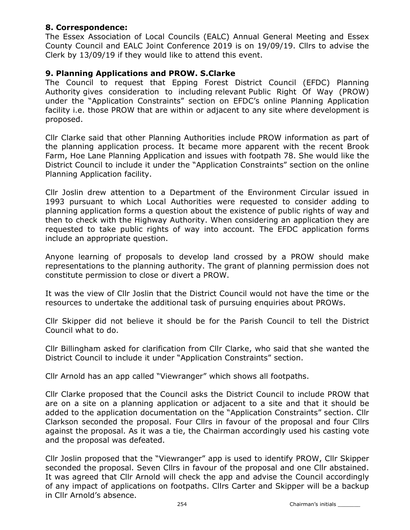# 8. Correspondence:

The Essex Association of Local Councils (EALC) Annual General Meeting and Essex County Council and EALC Joint Conference 2019 is on 19/09/19. Cllrs to advise the Clerk by 13/09/19 if they would like to attend this event.

# 9. Planning Applications and PROW. S.Clarke

The Council to request that Epping Forest District Council (EFDC) Planning Authority gives consideration to including relevant Public Right Of Way (PROW) under the "Application Constraints" section on EFDC's online Planning Application facility i.e. those PROW that are within or adjacent to any site where development is proposed.

Cllr Clarke said that other Planning Authorities include PROW information as part of the planning application process. It became more apparent with the recent Brook Farm, Hoe Lane Planning Application and issues with footpath 78. She would like the District Council to include it under the "Application Constraints" section on the online Planning Application facility.

Cllr Joslin drew attention to a Department of the Environment Circular issued in 1993 pursuant to which Local Authorities were requested to consider adding to planning application forms a question about the existence of public rights of way and then to check with the Highway Authority. When considering an application they are requested to take public rights of way into account. The EFDC application forms include an appropriate question.

Anyone learning of proposals to develop land crossed by a PROW should make representations to the planning authority. The grant of planning permission does not constitute permission to close or divert a PROW.

It was the view of Cllr Joslin that the District Council would not have the time or the resources to undertake the additional task of pursuing enquiries about PROWs.

Cllr Skipper did not believe it should be for the Parish Council to tell the District Council what to do.

Cllr Billingham asked for clarification from Cllr Clarke, who said that she wanted the District Council to include it under "Application Constraints" section.

Cllr Arnold has an app called "Viewranger" which shows all footpaths.

Cllr Clarke proposed that the Council asks the District Council to include PROW that are on a site on a planning application or adjacent to a site and that it should be added to the application documentation on the "Application Constraints" section. Cllr Clarkson seconded the proposal. Four Cllrs in favour of the proposal and four Cllrs against the proposal. As it was a tie, the Chairman accordingly used his casting vote and the proposal was defeated.

Cllr Joslin proposed that the "Viewranger" app is used to identify PROW, Cllr Skipper seconded the proposal. Seven Cllrs in favour of the proposal and one Cllr abstained. It was agreed that Cllr Arnold will check the app and advise the Council accordingly of any impact of applications on footpaths. Cllrs Carter and Skipper will be a backup in Cllr Arnold's absence.